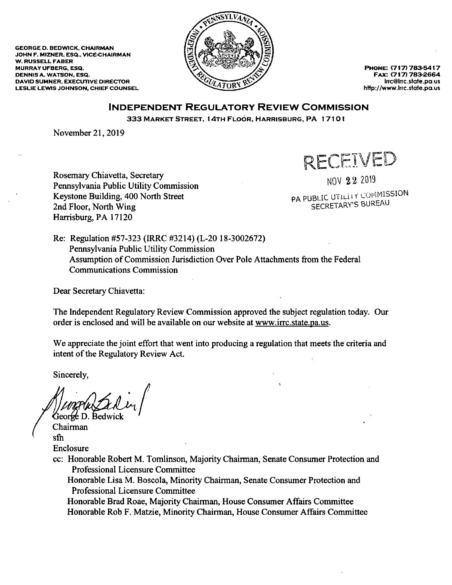**GEORGE D. BEDWICK, CHAIRMAN** JOHN F. MIZNER, ESQ., VICE-CHAIRMAN **W. RUSSELL FABER MURRAY UFBERG, ESQ. DENNIS A. WATSON, ESQ. DAVID SUMNER, EXECUTIVE DIRECTOR** LESLIE LEWIS JOHNSON, CHIEF COUNSEL



PHONE: (717) 783-5417 FAX: (717) 783-2664 irrc@irrc.state.pa.us http://www.lrrc.state.pa.us

## **INDEPENDENT REGULATORY REVIEW COMMISSION**

333 MARKET STREET, 14TH FLOOR, HARRISBURG, PA 17101

November 21, 2019

RECEIVED

Rosemary Chiavetta, Secretary Pennsylvania Public Utility Commission Keystone Building, 400 North Street 2nd Floor, North Wing Harrisburg, PA 17120

NOV 22 2019

PA PUBLIC UTILITY COMMISSION SECRETARY'S BUREAU

Re: Regulation #57-323 (IRRC #3214) (L-20 18-3002672) Pennsylvania Public Utility Commission Assumption of Commission Jurisdiction Over Pole Attachments from the Federal **Communications Commission** 

Dear Secretary Chiavetta:

The Independent Regulatory Review Commission approved the subject regulation today. Our order is enclosed and will be available on our website at www.irrc.state.pa.us.

We appreciate the joint effort that went into producing a regulation that meets the criteria and intent of the Regulatory Review Act.

Sincerely,

George D. Bedwic

Chairman sfh Enclosure

cc: Honorable Robert M. Tomlinson, Majority Chairman, Senate Consumer Protection and **Professional Licensure Committee** 

Honorable Lisa M. Boscola, Minority Chairman, Senate Consumer Protection and Professional Licensure Committee

Honorable Brad Roae, Majority Chairman, House Consumer Affairs Committee Honorable Rob F. Matzie, Minority Chairman, House Consumer Affairs Committee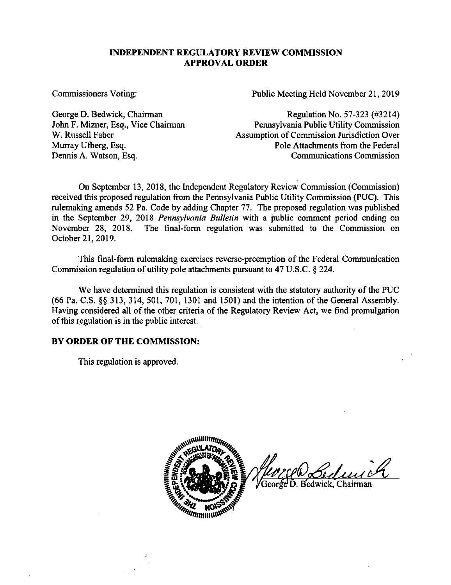## **INDEPENDENT REGULATORY REVIEW COMMISSION APPROVAL ORDER**

Commissioners Voting: Public Meeting Held November 21, 2019

George D. Bedwick, Chairman John F. Mizner, Esq., Vice Chairman W. Russell Faber Murray Ufberg, Esq. Dennis A. Watson, Esq.

Regulation No. 57-323 (#3214) Pennsylvania Public Utility Commission Assumption of Commission Jurisdiction Over Pole Attachments from the Federal Communications Commission

On September 13, 2018, the Independent Regulatory Review Commission (Commission) received this proposed regulation from the Pennsylvania Public Utility Commission (PUC). This rulemaking amends 52 Pa. Code by adding Chapter 77. The proposed regulation was published in the September 29, 2018 *Pennsylvania Bulletin* with a public comment period ending on November 28, 2018. The final-form regulation was submitted to the Commission on October 21, 2019.

This final-form rulemaking exercises reverse-preemption of the Federal Communication Commission regulation of utility pole attachments pursuant to 47 U.S.C. § 224.

We have determined this regulation is consistent with the statutory authority of the PUC  $(66 \text{ Pa. C.S.} \S\S 313, 314, 501, 701, 1301 \S 1501)$  and the intention of the General Assembly. Having considered all of the other criteria of the Regulatory Review Act, we find promulgation of this regulation is in the public interest.

## **BY ORDER OF THE COMMISSION:**

This regulation is approved.



George D. Bedwick, Chairman